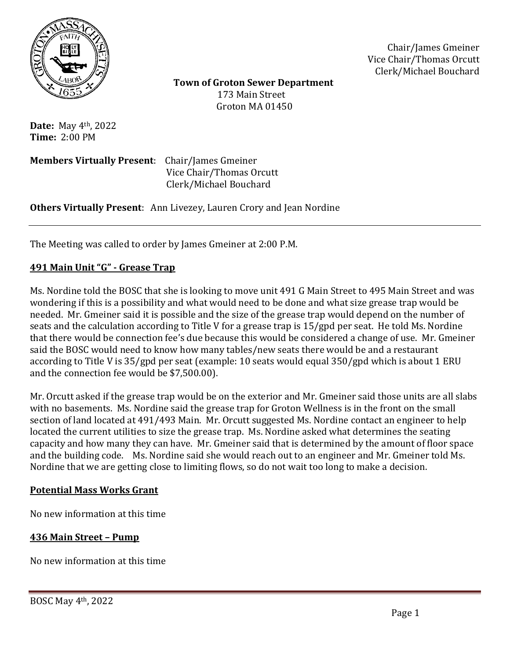

Chair/James Gmeiner Vice Chair/Thomas Orcutt Clerk/Michael Bouchard

 **Town of Groton Sewer Department** 173 Main Street Groton MA 01450

**Date:** May 4th, 2022 **Time:** 2:00 PM

**Members Virtually Present**: Chair/James Gmeiner Vice Chair/Thomas Orcutt Clerk/Michael Bouchard

**Others Virtually Present**: Ann Livezey, Lauren Crory and Jean Nordine

The Meeting was called to order by James Gmeiner at 2:00 P.M.

#### **491 Main Unit "G" - Grease Trap**

Ms. Nordine told the BOSC that she is looking to move unit 491 G Main Street to 495 Main Street and was wondering if this is a possibility and what would need to be done and what size grease trap would be needed. Mr. Gmeiner said it is possible and the size of the grease trap would depend on the number of seats and the calculation according to Title V for a grease trap is 15/gpd per seat. He told Ms. Nordine that there would be connection fee's due because this would be considered a change of use. Mr. Gmeiner said the BOSC would need to know how many tables/new seats there would be and a restaurant according to Title V is 35/gpd per seat (example: 10 seats would equal 350/gpd which is about 1 ERU and the connection fee would be \$7,500.00).

Mr. Orcutt asked if the grease trap would be on the exterior and Mr. Gmeiner said those units are all slabs with no basements. Ms. Nordine said the grease trap for Groton Wellness is in the front on the small section of land located at 491/493 Main. Mr. Orcutt suggested Ms. Nordine contact an engineer to help located the current utilities to size the grease trap. Ms. Nordine asked what determines the seating capacity and how many they can have. Mr. Gmeiner said that is determined by the amount of floor space and the building code. Ms. Nordine said she would reach out to an engineer and Mr. Gmeiner told Ms. Nordine that we are getting close to limiting flows, so do not wait too long to make a decision.

#### **Potential Mass Works Grant**

No new information at this time

#### **436 Main Street – Pump**

No new information at this time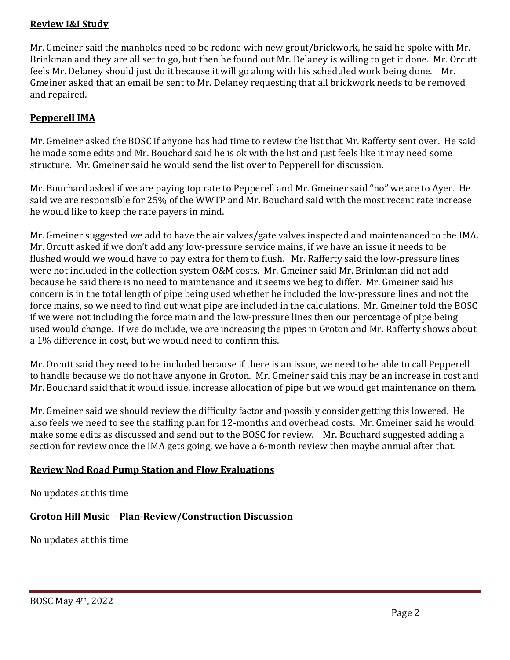#### **Review I&I Study**

Mr. Gmeiner said the manholes need to be redone with new grout/brickwork, he said he spoke with Mr. Brinkman and they are all set to go, but then he found out Mr. Delaney is willing to get it done. Mr. Orcutt feels Mr. Delaney should just do it because it will go along with his scheduled work being done. Mr. Gmeiner asked that an email be sent to Mr. Delaney requesting that all brickwork needs to be removed and repaired.

## **Pepperell IMA**

Mr. Gmeiner asked the BOSC if anyone has had time to review the list that Mr. Rafferty sent over. He said he made some edits and Mr. Bouchard said he is ok with the list and just feels like it may need some structure. Mr. Gmeiner said he would send the list over to Pepperell for discussion.

Mr. Bouchard asked if we are paying top rate to Pepperell and Mr. Gmeiner said "no" we are to Ayer. He said we are responsible for 25% of the WWTP and Mr. Bouchard said with the most recent rate increase he would like to keep the rate payers in mind.

Mr. Gmeiner suggested we add to have the air valves/gate valves inspected and maintenanced to the IMA. Mr. Orcutt asked if we don't add any low-pressure service mains, if we have an issue it needs to be flushed would we would have to pay extra for them to flush. Mr. Rafferty said the low-pressure lines were not included in the collection system O&M costs. Mr. Gmeiner said Mr. Brinkman did not add because he said there is no need to maintenance and it seems we beg to differ. Mr. Gmeiner said his concern is in the total length of pipe being used whether he included the low-pressure lines and not the force mains, so we need to find out what pipe are included in the calculations. Mr. Gmeiner told the BOSC if we were not including the force main and the low-pressure lines then our percentage of pipe being used would change. If we do include, we are increasing the pipes in Groton and Mr. Rafferty shows about a 1% difference in cost, but we would need to confirm this.

Mr. Orcutt said they need to be included because if there is an issue, we need to be able to call Pepperell to handle because we do not have anyone in Groton. Mr. Gmeiner said this may be an increase in cost and Mr. Bouchard said that it would issue, increase allocation of pipe but we would get maintenance on them.

Mr. Gmeiner said we should review the difficulty factor and possibly consider getting this lowered. He also feels we need to see the staffing plan for 12-months and overhead costs. Mr. Gmeiner said he would make some edits as discussed and send out to the BOSC for review. Mr. Bouchard suggested adding a section for review once the IMA gets going, we have a 6-month review then maybe annual after that.

#### **Review Nod Road Pump Station and Flow Evaluations**

No updates at this time

# **Groton Hill Music – Plan-Review/Construction Discussion**

No updates at this time